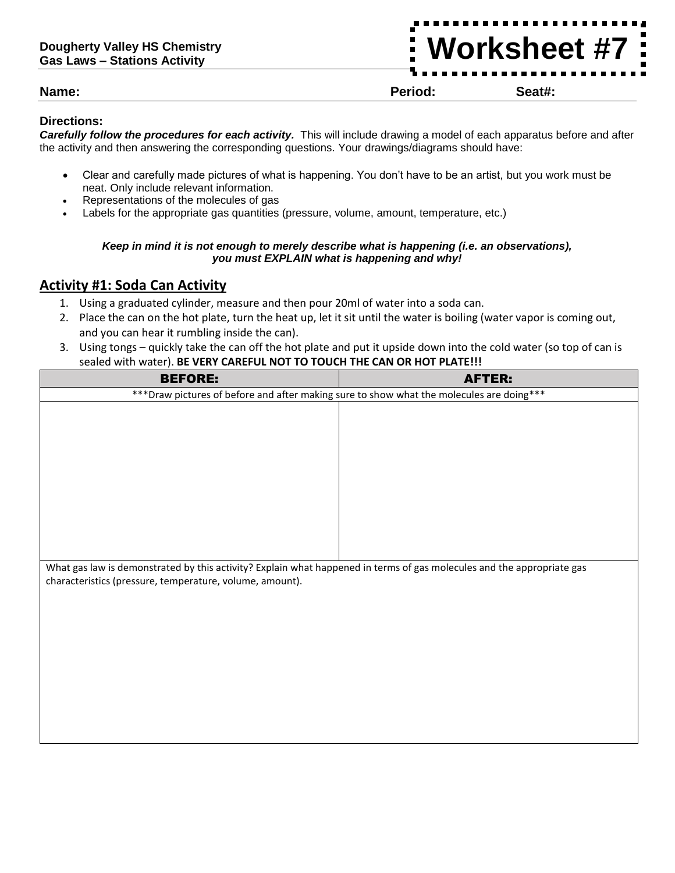**Worksheet #7**

**Name: Period: Seat#:**

#### **Directions:**

*Carefully follow the procedures for each activity.* This will include drawing a model of each apparatus before and after the activity and then answering the corresponding questions. Your drawings/diagrams should have:

- Clear and carefully made pictures of what is happening. You don't have to be an artist, but you work must be neat. Only include relevant information.
- Representations of the molecules of gas
- Labels for the appropriate gas quantities (pressure, volume, amount, temperature, etc.)

#### *Keep in mind it is not enough to merely describe what is happening (i.e. an observations), you must EXPLAIN what is happening and why!*

#### **Activity #1: Soda Can Activity**

- 1. Using a graduated cylinder, measure and then pour 20ml of water into a soda can.
- 2. Place the can on the hot plate, turn the heat up, let it sit until the water is boiling (water vapor is coming out, and you can hear it rumbling inside the can).
- 3. Using tongs quickly take the can off the hot plate and put it upside down into the cold water (so top of can is sealed with water). **BE VERY CAREFUL NOT TO TOUCH THE CAN OR HOT PLATE!!!**

| <b>BEFORE:</b>                                                                                                                                                                     | <b>AFTER:</b> |
|------------------------------------------------------------------------------------------------------------------------------------------------------------------------------------|---------------|
| *** Draw pictures of before and after making sure to show what the molecules are doing***                                                                                          |               |
|                                                                                                                                                                                    |               |
|                                                                                                                                                                                    |               |
|                                                                                                                                                                                    |               |
|                                                                                                                                                                                    |               |
|                                                                                                                                                                                    |               |
|                                                                                                                                                                                    |               |
|                                                                                                                                                                                    |               |
|                                                                                                                                                                                    |               |
|                                                                                                                                                                                    |               |
|                                                                                                                                                                                    |               |
|                                                                                                                                                                                    |               |
| What gas law is demonstrated by this activity? Explain what happened in terms of gas molecules and the appropriate gas<br>characteristics (pressure, temperature, volume, amount). |               |
|                                                                                                                                                                                    |               |
|                                                                                                                                                                                    |               |
|                                                                                                                                                                                    |               |
|                                                                                                                                                                                    |               |
|                                                                                                                                                                                    |               |
|                                                                                                                                                                                    |               |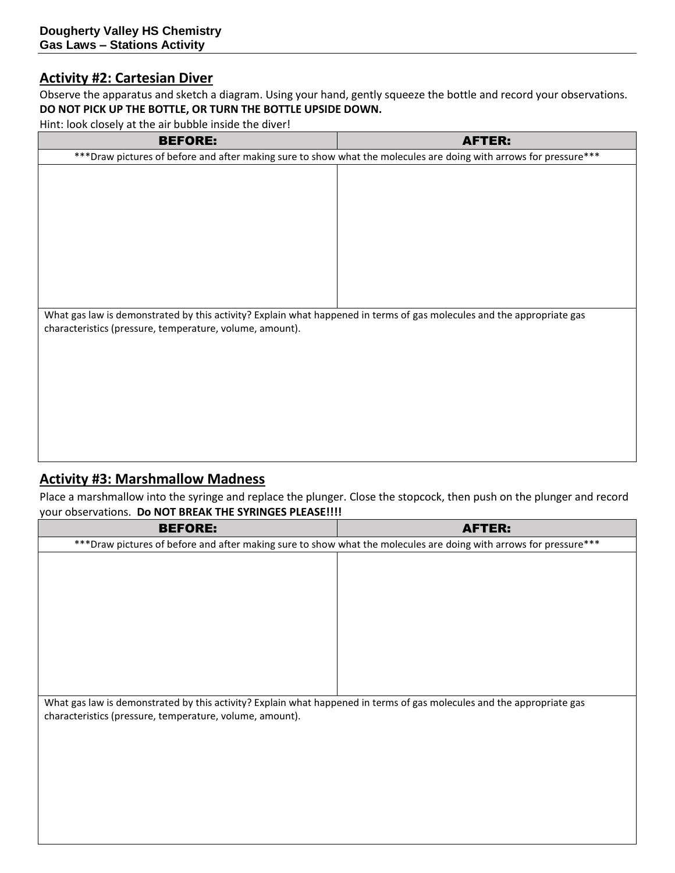#### **Activity #2: Cartesian Diver**

Observe the apparatus and sketch a diagram. Using your hand, gently squeeze the bottle and record your observations. **DO NOT PICK UP THE BOTTLE, OR TURN THE BOTTLE UPSIDE DOWN.**

Hint: look closely at the air bubble inside the diver!

| <b>BEFORE:</b>                                                                                                         | <b>AFTER:</b> |
|------------------------------------------------------------------------------------------------------------------------|---------------|
| *** Draw pictures of before and after making sure to show what the molecules are doing with arrows for pressure***     |               |
|                                                                                                                        |               |
|                                                                                                                        |               |
|                                                                                                                        |               |
|                                                                                                                        |               |
|                                                                                                                        |               |
|                                                                                                                        |               |
|                                                                                                                        |               |
|                                                                                                                        |               |
|                                                                                                                        |               |
| What gas law is demonstrated by this activity? Explain what happened in terms of gas molecules and the appropriate gas |               |
| characteristics (pressure, temperature, volume, amount).                                                               |               |
|                                                                                                                        |               |
|                                                                                                                        |               |
|                                                                                                                        |               |
|                                                                                                                        |               |
|                                                                                                                        |               |
|                                                                                                                        |               |
|                                                                                                                        |               |
|                                                                                                                        |               |

# **Activity #3: Marshmallow Madness**

Place a marshmallow into the syringe and replace the plunger. Close the stopcock, then push on the plunger and record your observations. **Do NOT BREAK THE SYRINGES PLEASE!!!!**

| <b>BEFORE:</b>                                                                                                         | <b>AFTER:</b> |
|------------------------------------------------------------------------------------------------------------------------|---------------|
| *** Draw pictures of before and after making sure to show what the molecules are doing with arrows for pressure***     |               |
|                                                                                                                        |               |
|                                                                                                                        |               |
|                                                                                                                        |               |
|                                                                                                                        |               |
|                                                                                                                        |               |
|                                                                                                                        |               |
|                                                                                                                        |               |
|                                                                                                                        |               |
|                                                                                                                        |               |
| What gas law is demonstrated by this activity? Explain what happened in terms of gas molecules and the appropriate gas |               |
| characteristics (pressure, temperature, volume, amount).                                                               |               |
|                                                                                                                        |               |
|                                                                                                                        |               |
|                                                                                                                        |               |
|                                                                                                                        |               |
|                                                                                                                        |               |
|                                                                                                                        |               |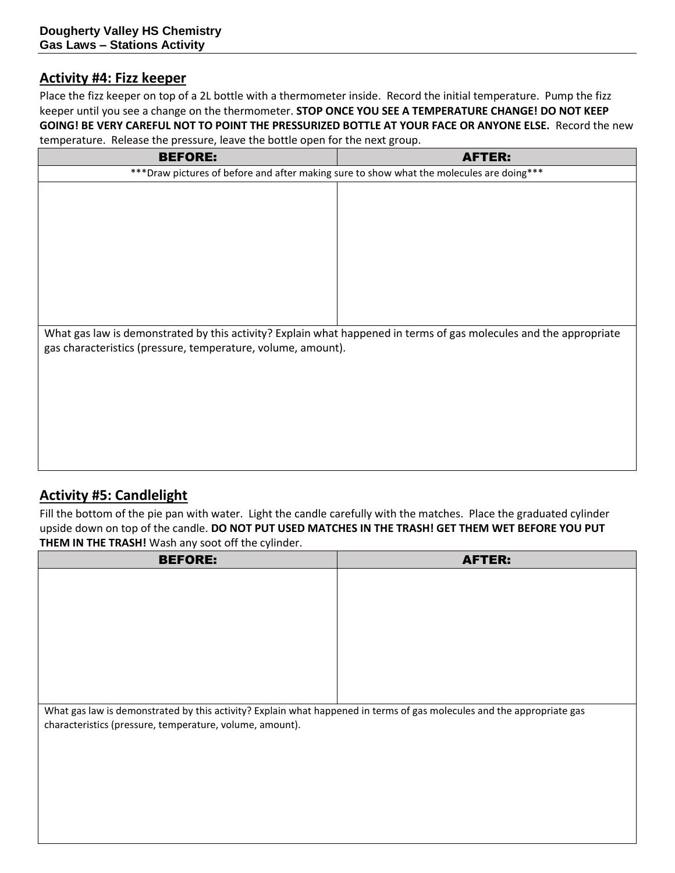#### **Activity #4: Fizz keeper**

Place the fizz keeper on top of a 2L bottle with a thermometer inside. Record the initial temperature. Pump the fizz keeper until you see a change on the thermometer. **STOP ONCE YOU SEE A TEMPERATURE CHANGE! DO NOT KEEP GOING! BE VERY CAREFUL NOT TO POINT THE PRESSURIZED BOTTLE AT YOUR FACE OR ANYONE ELSE.** Record the new temperature. Release the pressure, leave the bottle open for the next group.

| <b>BEFORE:</b>                                                                                                     | <b>AFTER:</b> |
|--------------------------------------------------------------------------------------------------------------------|---------------|
| *** Draw pictures of before and after making sure to show what the molecules are doing***                          |               |
|                                                                                                                    |               |
|                                                                                                                    |               |
|                                                                                                                    |               |
|                                                                                                                    |               |
|                                                                                                                    |               |
|                                                                                                                    |               |
|                                                                                                                    |               |
|                                                                                                                    |               |
|                                                                                                                    |               |
| What gas law is demonstrated by this activity? Explain what happened in terms of gas molecules and the appropriate |               |
| gas characteristics (pressure, temperature, volume, amount).                                                       |               |
|                                                                                                                    |               |
|                                                                                                                    |               |
|                                                                                                                    |               |
|                                                                                                                    |               |
|                                                                                                                    |               |
|                                                                                                                    |               |
|                                                                                                                    |               |

## **Activity #5: Candlelight**

Fill the bottom of the pie pan with water. Light the candle carefully with the matches. Place the graduated cylinder upside down on top of the candle. **DO NOT PUT USED MATCHES IN THE TRASH! GET THEM WET BEFORE YOU PUT THEM IN THE TRASH!** Wash any soot off the cylinder.

| <b>BEFORE:</b>                                                                                                         | <b>AFTER:</b> |
|------------------------------------------------------------------------------------------------------------------------|---------------|
|                                                                                                                        |               |
|                                                                                                                        |               |
|                                                                                                                        |               |
|                                                                                                                        |               |
|                                                                                                                        |               |
|                                                                                                                        |               |
|                                                                                                                        |               |
|                                                                                                                        |               |
| What gas law is demonstrated by this activity? Explain what happened in terms of gas molecules and the appropriate gas |               |
| characteristics (pressure, temperature, volume, amount).                                                               |               |
|                                                                                                                        |               |
|                                                                                                                        |               |
|                                                                                                                        |               |
|                                                                                                                        |               |
|                                                                                                                        |               |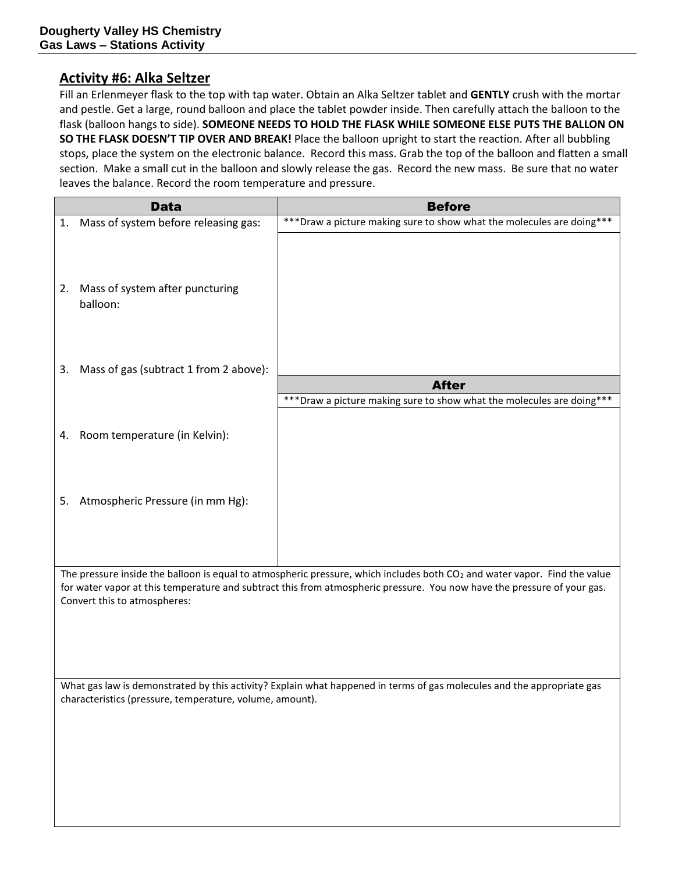#### **Activity #6: Alka Seltzer**

Fill an Erlenmeyer flask to the top with tap water. Obtain an Alka Seltzer tablet and **GENTLY** crush with the mortar and pestle. Get a large, round balloon and place the tablet powder inside. Then carefully attach the balloon to the flask (balloon hangs to side). **SOMEONE NEEDS TO HOLD THE FLASK WHILE SOMEONE ELSE PUTS THE BALLON ON SO THE FLASK DOESN'T TIP OVER AND BREAK!** Place the balloon upright to start the reaction. After all bubbling stops, place the system on the electronic balance. Record this mass. Grab the top of the balloon and flatten a small section. Make a small cut in the balloon and slowly release the gas. Record the new mass. Be sure that no water leaves the balance. Record the room temperature and pressure.

|    | <b>Data</b>                            | <b>Before</b>                                                          |
|----|----------------------------------------|------------------------------------------------------------------------|
| 1. | Mass of system before releasing gas:   | *** Draw a picture making sure to show what the molecules are doing*** |
|    |                                        |                                                                        |
| 2. | Mass of system after puncturing        |                                                                        |
|    | balloon:                               |                                                                        |
|    |                                        |                                                                        |
| 3. | Mass of gas (subtract 1 from 2 above): |                                                                        |
|    |                                        | <b>After</b>                                                           |
|    |                                        | *** Draw a picture making sure to show what the molecules are doing*** |
| 4. | Room temperature (in Kelvin):          |                                                                        |
| 5. | Atmospheric Pressure (in mm Hg):       |                                                                        |
|    |                                        |                                                                        |

The pressure inside the balloon is equal to atmospheric pressure, which includes both  $CO<sub>2</sub>$  and water vapor. Find the value for water vapor at this temperature and subtract this from atmospheric pressure. You now have the pressure of your gas. Convert this to atmospheres:

What gas law is demonstrated by this activity? Explain what happened in terms of gas molecules and the appropriate gas characteristics (pressure, temperature, volume, amount).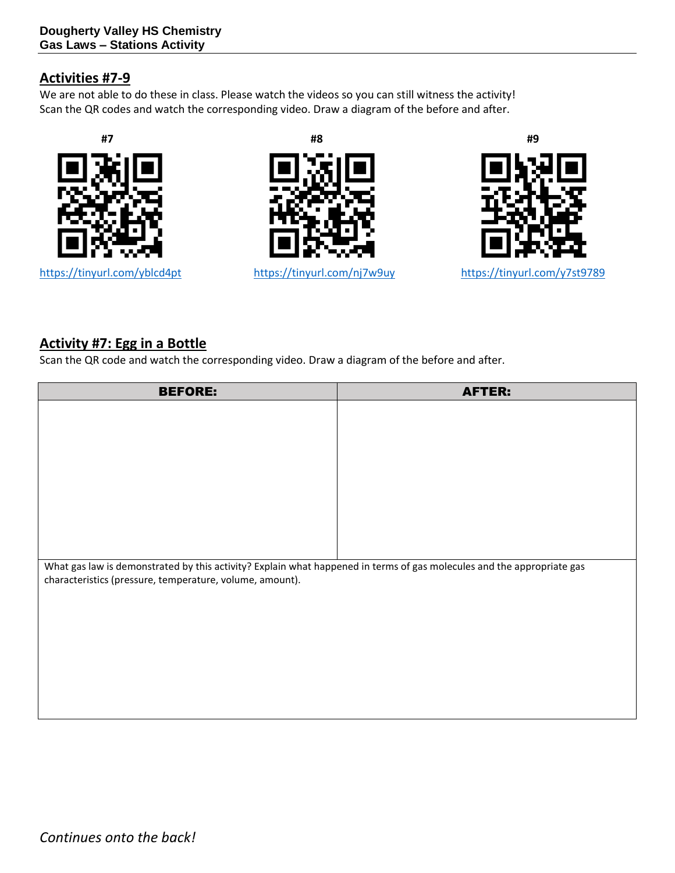#### **Activities #7-9**

We are not able to do these in class. Please watch the videos so you can still witness the activity! Scan the QR codes and watch the corresponding video. Draw a diagram of the before and after.



https://tinyurl.com/yblcd4pt





<https://tinyurl.com/nj7w9uy><https://tinyurl.com/y7st9789>

## **Activity #7: Egg in a Bottle**

Scan the QR code and watch the corresponding video. Draw a diagram of the before and after.

| <b>BEFORE:</b>                                                                                                         | <b>AFTER:</b> |
|------------------------------------------------------------------------------------------------------------------------|---------------|
|                                                                                                                        |               |
|                                                                                                                        |               |
|                                                                                                                        |               |
|                                                                                                                        |               |
|                                                                                                                        |               |
|                                                                                                                        |               |
|                                                                                                                        |               |
|                                                                                                                        |               |
| What gas law is demonstrated by this activity? Explain what happened in terms of gas molecules and the appropriate gas |               |
| characteristics (pressure, temperature, volume, amount).                                                               |               |
|                                                                                                                        |               |
|                                                                                                                        |               |
|                                                                                                                        |               |
|                                                                                                                        |               |
|                                                                                                                        |               |
|                                                                                                                        |               |